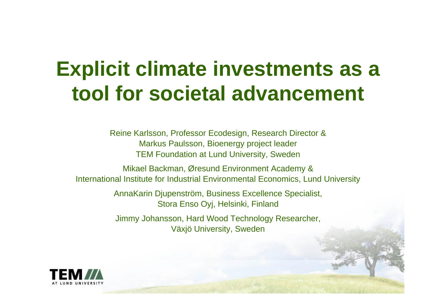### **Explicit climate investments as a tool for societal advancement**

Reine Karlsson, Professor Ecodesign, Research Director & Markus Paulsson, Bioenergy project leader TEM Foundation at Lund University, Sweden

Mikael Backman, Øresund Environment Academy & International Institute for Industrial Environmental Economics, Lund University

> AnnaKarin Djupenström, Business Excellence Specialist, Stora Enso Oyj, Helsinki, Finland

> Jimmy Johansson, Hard Wood Technology Researcher, Växjö University, Sweden

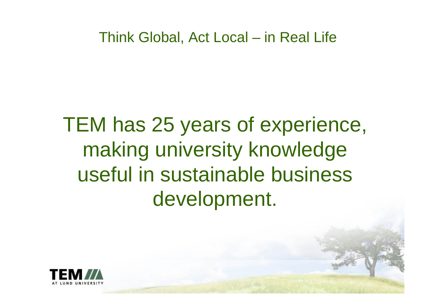## TEM has 25 years of experience, making university knowledge useful in sustainable business development.

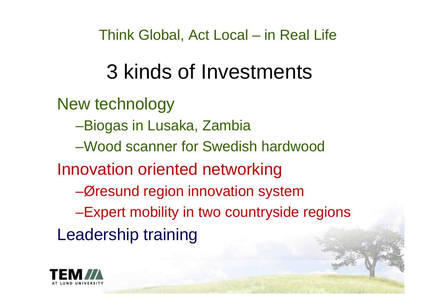## 3 kinds of Investments

New technology –Biogas in Lusaka, Zambia –Wood scanner for Swedish hardwood Innovation oriented networking –Øresund region innovation system –Expert mobility in two countryside regions Leadership training

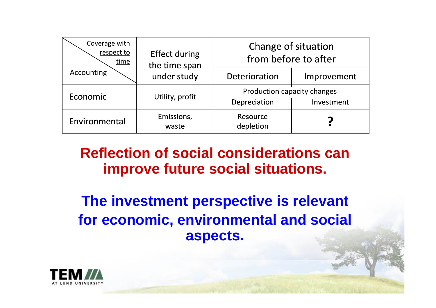| Coverage with<br>respect to<br>time<br><b>Accounting</b> | <b>Effect during</b><br>the time span<br>under study | Change of situation<br>from before to after               |             |  |
|----------------------------------------------------------|------------------------------------------------------|-----------------------------------------------------------|-------------|--|
|                                                          |                                                      | Deterioration                                             | Improvement |  |
| Economic                                                 | Utility, profit                                      | Production capacity changes<br>Depreciation<br>Investment |             |  |
| Environmental                                            | Emissions,<br>waste                                  | Resource<br>depletion                                     |             |  |

#### **Reflection of social considerations can improve future social situations.**

**The investment perspective is relevant for economic, environmental and social aspects.**

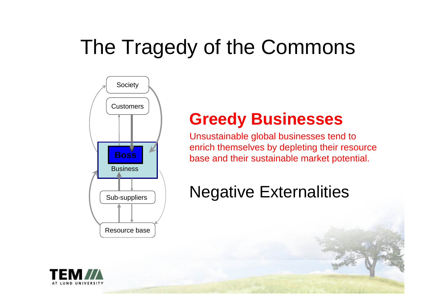# The Tragedy of the Commons



#### **Greedy Businesses**

Unsustainable global businesses tend to enrich themselves by depleting their resource base and their sustainable market potential.

### Negative Externalities

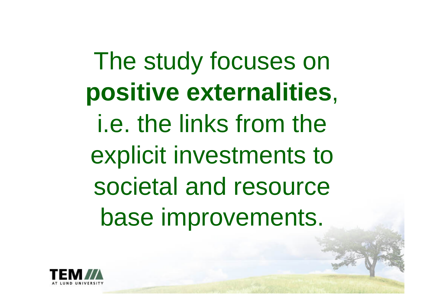The study focuses on **positive externalities**, i.e. the links from the explicit investments to societal and resource base improvements.

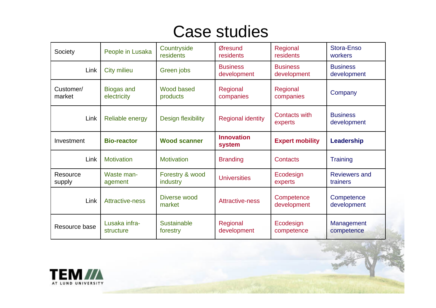#### Case studies

| Society             | People in Lusaka                 | Countryside<br>residents       | Øresund<br>residents           | Regional<br>residents           | Stora-Enso<br>workers            |
|---------------------|----------------------------------|--------------------------------|--------------------------------|---------------------------------|----------------------------------|
| Link                | <b>City milieu</b>               | Green jobs                     | <b>Business</b><br>development | <b>Business</b><br>development  | <b>Business</b><br>development   |
| Customer/<br>market | <b>Biogas and</b><br>electricity | Wood based<br>products         | Regional<br>companies          | Regional<br>companies           | Company                          |
| Link                | Reliable energy                  | <b>Design flexibility</b>      | <b>Regional identity</b>       | <b>Contacts with</b><br>experts | <b>Business</b><br>development   |
| Investment          | <b>Bio-reactor</b>               | <b>Wood scanner</b>            | <b>Innovation</b><br>system    | <b>Expert mobility</b>          | Leadership                       |
| Link                | <b>Motivation</b>                | <b>Motivation</b>              | <b>Branding</b>                | Contacts                        | <b>Training</b>                  |
| Resource<br>supply  | Waste man-<br>agement            | Forestry & wood<br>industry    | <b>Universities</b>            | Ecodesign<br>experts            | <b>Reviewers and</b><br>trainers |
| Link                | <b>Attractive-ness</b>           | Diverse wood<br>market         | <b>Attractive-ness</b>         | Competence<br>development       | Competence<br>development        |
| Resource base       | Lusaka infra-<br>structure       | <b>Sustainable</b><br>forestry | Regional<br>development        | Ecodesign<br>competence         | Management<br>competence         |

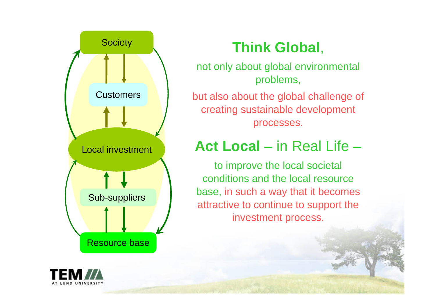

### Society **Think Global**,

not only about global environmental problems,

but also about the global challenge of creating sustainable development processes.

#### **Act Local** – in Real Life –

to improve the local societal conditions and the local resource base, in such a way that it becomes attractive to continue to support the investment process.

![](_page_7_Picture_6.jpeg)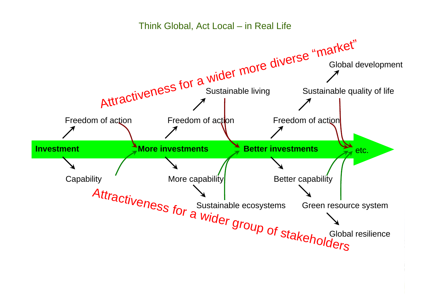![](_page_8_Figure_1.jpeg)